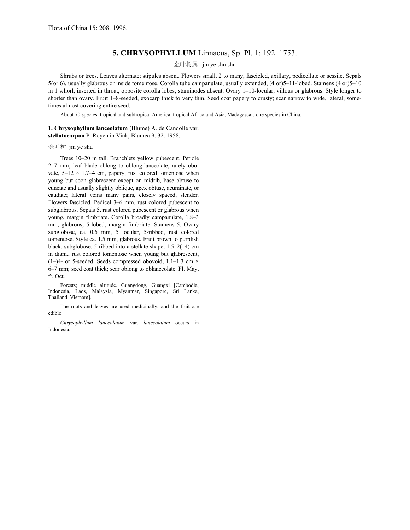## **5. CHRYSOPHYLLUM** Linnaeus, Sp. Pl. 1: 192. 1753.

## 金叶树属 jin ye shu shu

 Shrubs or trees. Leaves alternate; stipules absent. Flowers small, 2 to many, fascicled, axillary, pedicellate or sessile. Sepals 5(or 6), usually glabrous or inside tomentose. Corolla tube campanulate, usually extended, (4 or)5–11-lobed. Stamens (4 or)5–10 in 1 whorl, inserted in throat, opposite corolla lobes; staminodes absent. Ovary 1–10-locular, villous or glabrous. Style longer to shorter than ovary. Fruit 1–8-seeded, exocarp thick to very thin. Seed coat papery to crusty; scar narrow to wide, lateral, sometimes almost covering entire seed.

About 70 species: tropical and subtropical America, tropical Africa and Asia, Madagascar; one species in China.

**1. Chrysophyllum lanceolatum** (Blume) A. de Candolle var. **stellatocarpon** P. Royen in Vink, Blumea 9: 32. 1958.

## 金叶树 jin ye shu

 Trees 10–20 m tall. Branchlets yellow pubescent. Petiole 2–7 mm; leaf blade oblong to oblong-lanceolate, rarely obovate,  $5-12 \times 1.7-4$  cm, papery, rust colored tomentose when young but soon glabrescent except on midrib, base obtuse to cuneate and usually slightly oblique, apex obtuse, acuminate, or caudate; lateral veins many pairs, closely spaced, slender. Flowers fascicled. Pedicel 3–6 mm, rust colored pubescent to subglabrous. Sepals 5, rust colored pubescent or glabrous when young, margin fimbriate. Corolla broadly campanulate, 1.8–3 mm, glabrous; 5-lobed, margin fimbriate. Stamens 5. Ovary subglobose, ca. 0.6 mm, 5 locular, 5-ribbed, rust colored tomentose. Style ca. 1.5 mm, glabrous. Fruit brown to purplish black, subglobose, 5-ribbed into a stellate shape, 1.5–2(–4) cm in diam., rust colored tomentose when young but glabrescent,  $(1-)$ 4- or 5-seeded. Seeds compressed obovoid, 1.1–1.3 cm  $\times$ 6–7 mm; seed coat thick; scar oblong to oblanceolate. Fl. May, fr. Oct.

 Forests; middle altitude. Guangdong, Guangxi [Cambodia, Indonesia, Laos, Malaysia, Myanmar, Singapore, Sri Lanka, Thailand, Vietnam].

 The roots and leaves are used medicinally, and the fruit are edible.

*Chrysophyllum lanceolatum* var. *lanceolatum* occurs in Indonesia.